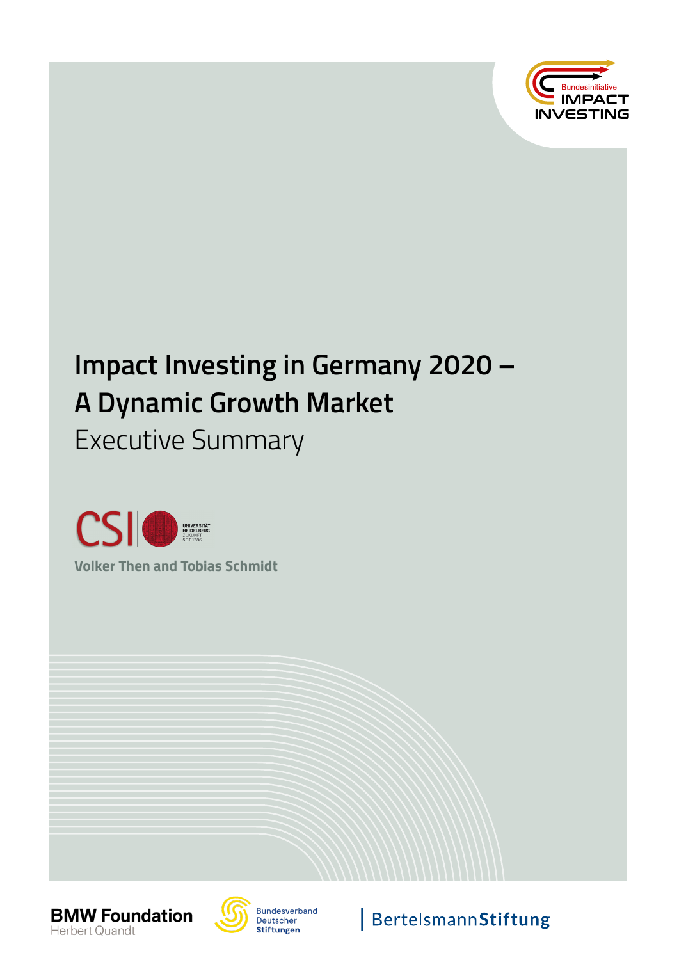

# **Impact Investing in Germany 2020 – A Dynamic Growth Market**

Executive Summary



**Volker Then and Tobias Schmidt**





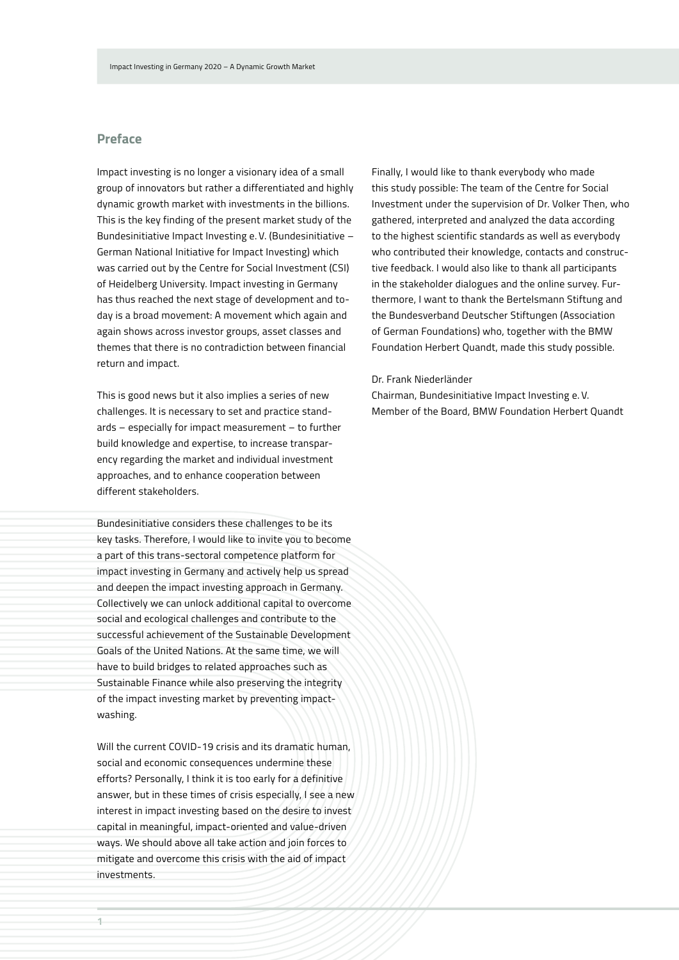### **Preface**

Impact investing is no longer a visionary idea of a small group of innovators but rather a differentiated and highly dynamic growth market with investments in the billions. This is the key finding of the present market study of the Bundesinitiative Impact Investing e. V. (Bundesinitiative – German National Initiative for Impact Investing) which was carried out by the Centre for Social Investment (CSI) of Heidelberg University. Impact investing in Germany has thus reached the next stage of development and today is a broad movement: A movement which again and again shows across investor groups, asset classes and themes that there is no contradiction between financial return and impact.

This is good news but it also implies a series of new challenges. It is necessary to set and practice standards – especially for impact measurement – to further build knowledge and expertise, to increase transparency regarding the market and individual investment approaches, and to enhance cooperation between different stakeholders.

Bundesinitiative considers these challenges to be its key tasks. Therefore, I would like to invite you to become a part of this trans-sectoral competence platform for impact investing in Germany and actively help us spread and deepen the impact investing approach in Germany. Collectively we can unlock additional capital to overcome social and ecological challenges and contribute to the successful achievement of the Sustainable Development Goals of the United Nations. At the same time, we will have to build bridges to related approaches such as Sustainable Finance while also preserving the integrity of the impact investing market by preventing impactwashing.

Will the current COVID-19 crisis and its dramatic human. social and economic consequences undermine these efforts? Personally, I think it is too early for a definitive answer, but in these times of crisis especially, I see a new interest in impact investing based on the desire to invest capital in meaningful, impact-oriented and value-driven ways. We should above all take action and join forces to mitigate and overcome this crisis with the aid of impact investments.

Finally, I would like to thank everybody who made this study possible: The team of the Centre for Social Investment under the supervision of Dr. Volker Then, who gathered, interpreted and analyzed the data according to the highest scientific standards as well as everybody who contributed their knowledge, contacts and constructive feedback. I would also like to thank all participants in the stakeholder dialogues and the online survey. Furthermore, I want to thank the Bertelsmann Stiftung and the Bundesverband Deutscher Stiftungen (Association of German Foundations) who, together with the BMW Foundation Herbert Quandt, made this study possible.

Dr. Frank Niederländer

Chairman, Bundesinitiative Impact Investing e. V. Member of the Board, BMW Foundation Herbert Quandt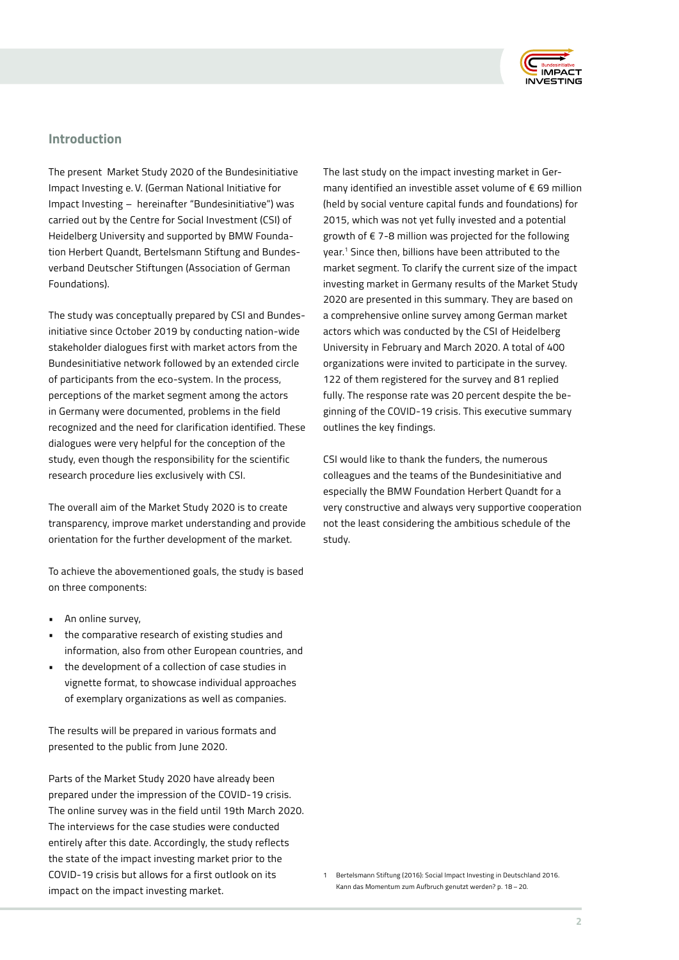

### **Introduction**

The present Market Study 2020 of the Bundesinitiative Impact Investing e. V. (German National Initiative for Impact Investing – hereinafter "Bundesinitiative") was carried out by the Centre for Social Investment (CSI) of Heidelberg University and supported by BMW Foundation Herbert Quandt, Bertelsmann Stiftung and Bundesverband Deutscher Stiftungen (Association of German Foundations).

The study was conceptually prepared by CSI and Bundesinitiative since October 2019 by conducting nation-wide stakeholder dialogues first with market actors from the Bundesinitiative network followed by an extended circle of participants from the eco-system. In the process, perceptions of the market segment among the actors in Germany were documented, problems in the field recognized and the need for clarification identified. These dialogues were very helpful for the conception of the study, even though the responsibility for the scientific research procedure lies exclusively with CSI.

The overall aim of the Market Study 2020 is to create transparency, improve market understanding and provide orientation for the further development of the market.

To achieve the abovementioned goals, the study is based on three components:

- An online survey,
- the comparative research of existing studies and information, also from other European countries, and
- the development of a collection of case studies in vignette format, to showcase individual approaches of exemplary organizations as well as companies.

The results will be prepared in various formats and presented to the public from June 2020.

Parts of the Market Study 2020 have already been prepared under the impression of the COVID-19 crisis. The online survey was in the field until 19th March 2020. The interviews for the case studies were conducted entirely after this date. Accordingly, the study reflects the state of the impact investing market prior to the COVID-19 crisis but allows for a first outlook on its impact on the impact investing market.

The last study on the impact investing market in Germany identified an investible asset volume of € 69 million (held by social venture capital funds and foundations) for 2015, which was not yet fully invested and a potential growth of € 7-8 million was projected for the following year.1 Since then, billions have been attributed to the market segment. To clarify the current size of the impact investing market in Germany results of the Market Study 2020 are presented in this summary. They are based on a comprehensive online survey among German market actors which was conducted by the CSI of Heidelberg University in February and March 2020. A total of 400 organizations were invited to participate in the survey. 122 of them registered for the survey and 81 replied fully. The response rate was 20 percent despite the beginning of the COVID-19 crisis. This executive summary outlines the key findings.

CSI would like to thank the funders, the numerous colleagues and the teams of the Bundesinitiative and especially the BMW Foundation Herbert Quandt for a very constructive and always very supportive cooperation not the least considering the ambitious schedule of the study.

<sup>1</sup> Bertelsmann Stiftung (2016): Social Impact Investing in Deutschland 2016. Kann das Momentum zum Aufbruch genutzt werden? p. 18 – 20.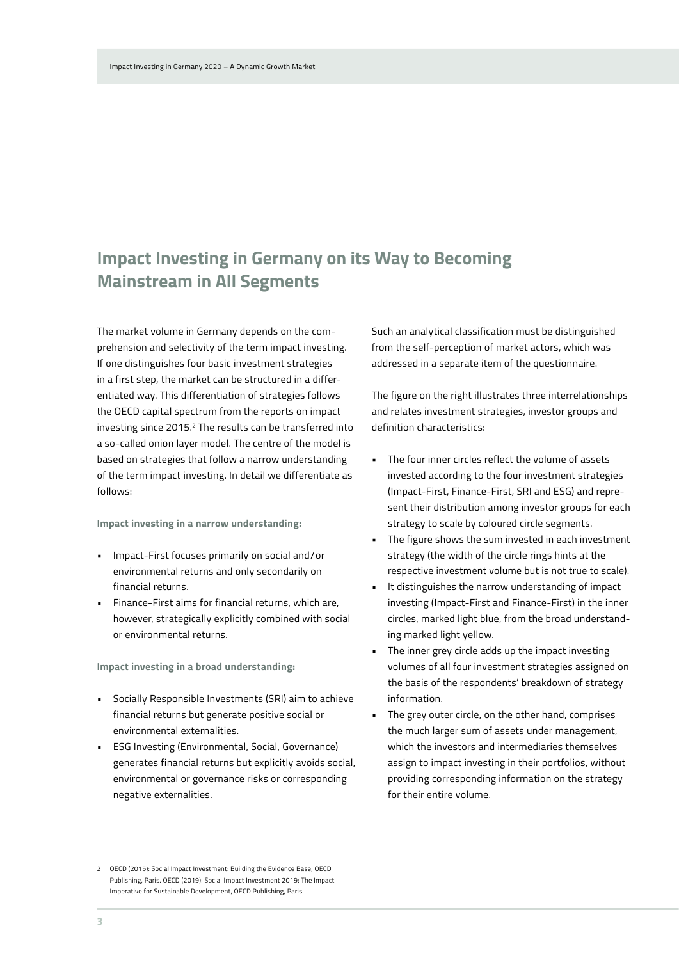# **Impact Investing in Germany on its Way to Becoming Mainstream in All Segments**

The market volume in Germany depends on the comprehension and selectivity of the term impact investing. If one distinguishes four basic investment strategies in a first step, the market can be structured in a differentiated way. This differentiation of strategies follows the OECD capital spectrum from the reports on impact investing since 2015.<sup>2</sup> The results can be transferred into a so-called onion layer model. The centre of the model is based on strategies that follow a narrow understanding of the term impact investing. In detail we differentiate as follows:

**Impact investing in a narrow understanding:**

- Impact-First focuses primarily on social and/or environmental returns and only secondarily on financial returns.
- Finance-First aims for financial returns, which are, however, strategically explicitly combined with social or environmental returns.

**Impact investing in a broad understanding:**

- Socially Responsible Investments (SRI) aim to achieve financial returns but generate positive social or environmental externalities.
- ESG Investing (Environmental, Social, Governance) generates financial returns but explicitly avoids social, environmental or governance risks or corresponding negative externalities.

2 OECD (2015): Social Impact Investment: Building the Evidence Base, OECD Publishing, Paris. OECD (2019): Social Impact Investment 2019: The Impact Imperative for Sustainable Development, OECD Publishing, Paris.

Such an analytical classification must be distinguished from the self-perception of market actors, which was addressed in a separate item of the questionnaire.

The figure on the right illustrates three interrelationships and relates investment strategies, investor groups and definition characteristics:

- The four inner circles reflect the volume of assets invested according to the four investment strategies (Impact-First, Finance-First, SRI and ESG) and represent their distribution among investor groups for each strategy to scale by coloured circle segments.
- The figure shows the sum invested in each investment strategy (the width of the circle rings hints at the respective investment volume but is not true to scale).
- It distinguishes the narrow understanding of impact investing (Impact-First and Finance-First) in the inner circles, marked light blue, from the broad understanding marked light yellow.
- The inner grey circle adds up the impact investing volumes of all four investment strategies assigned on the basis of the respondents' breakdown of strategy information.
- The grey outer circle, on the other hand, comprises the much larger sum of assets under management, which the investors and intermediaries themselves assign to impact investing in their portfolios, without providing corresponding information on the strategy for their entire volume.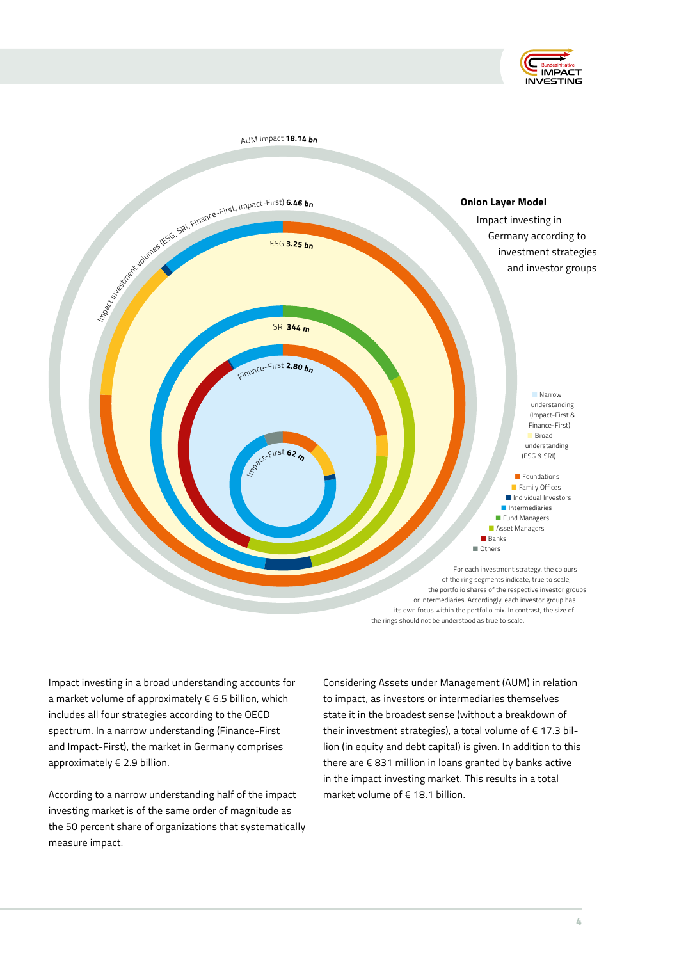



Impact investing in a broad understanding accounts for a market volume of approximately € 6.5 billion, which includes all four strategies according to the OECD spectrum. In a narrow understanding (Finance-First and Impact-First), the market in Germany comprises approximately € 2.9 billion.

According to a narrow understanding half of the impact investing market is of the same order of magnitude as the 50 percent share of organizations that systematically measure impact.

Considering Assets under Management (AUM) in relation to impact, as investors or intermediaries themselves state it in the broadest sense (without a breakdown of their investment strategies), a total volume of € 17.3 billion (in equity and debt capital) is given. In addition to this there are € 831 million in loans granted by banks active in the impact investing market. This results in a total market volume of € 18.1 billion.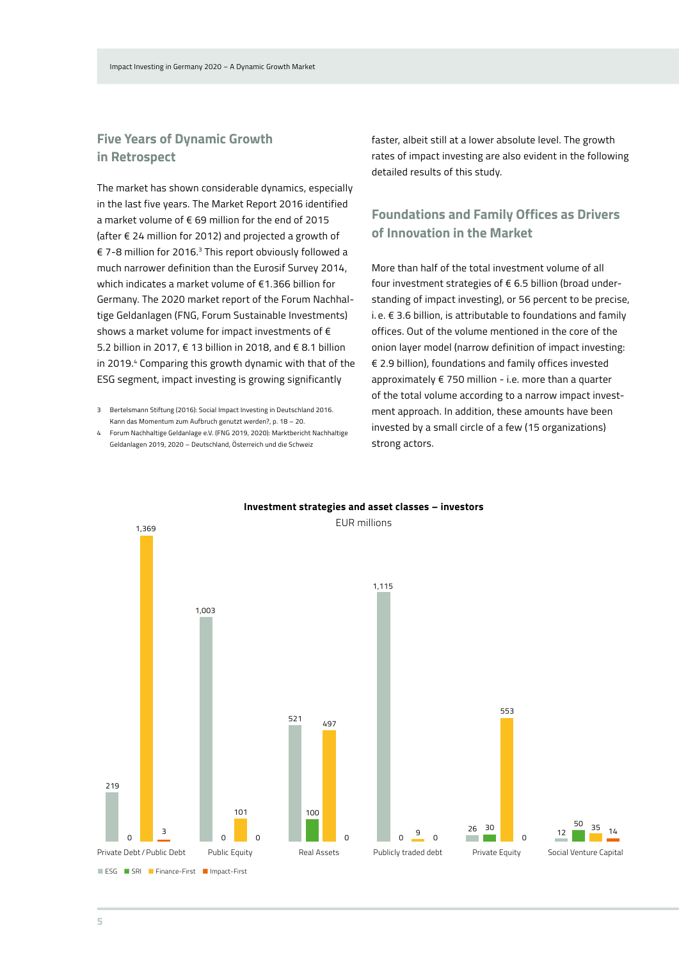### **Five Years of Dynamic Growth in Retrospect**

The market has shown considerable dynamics, especially in the last five years. The Market Report 2016 identified a market volume of € 69 million for the end of 2015 (after € 24 million for 2012) and projected a growth of € 7-8 million for 2016.3 This report obviously followed a much narrower definition than the Eurosif Survey 2014, which indicates a market volume of €1.366 billion for Germany. The 2020 market report of the Forum Nachhaltige Geldanlagen (FNG, Forum Sustainable Investments) shows a market volume for impact investments of  $\epsilon$ 5.2 billion in 2017, € 13 billion in 2018, and € 8.1 billion in 2019.<sup>4</sup> Comparing this growth dynamic with that of the ESG segment, impact investing is growing significantly

3 Bertelsmann Stiftung (2016): Social Impact Investing in Deutschland 2016. Kann das Momentum zum Aufbruch genutzt werden?, p. 18 – 20.

4 Forum Nachhaltige Geldanlage e.V. (FNG 2019, 2020): Marktbericht Nachhaltige Geldanlagen 2019, 2020 – Deutschland, Österreich und die Schweiz

faster, albeit still at a lower absolute level. The growth rates of impact investing are also evident in the following detailed results of this study.

### **Foundations and Family Offices as Drivers of Innovation in the Market**

More than half of the total investment volume of all four investment strategies of € 6.5 billion (broad understanding of impact investing), or 56 percent to be precise, i. e.  $\epsilon$  3.6 billion, is attributable to foundations and family offices. Out of the volume mentioned in the core of the onion layer model (narrow definition of impact investing: € 2.9 billion), foundations and family offices invested approximately € 750 million - i.e. more than a quarter of the total volume according to a narrow impact investment approach. In addition, these amounts have been invested by a small circle of a few (15 organizations) strong actors.



#### **Investment strategies and asset classes – investors**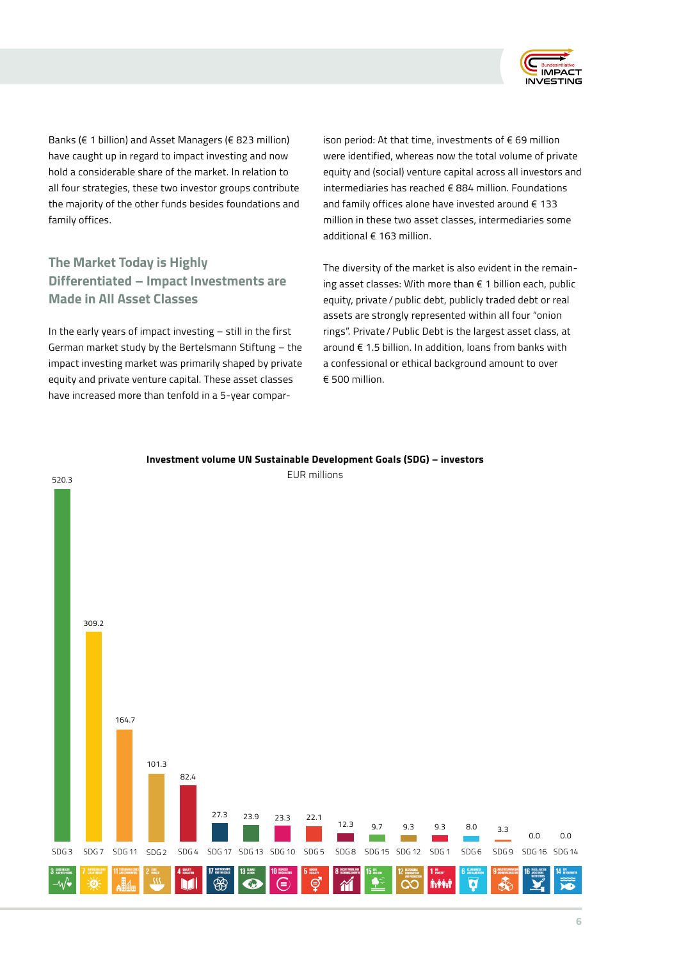

Banks (€ 1 billion) and Asset Managers (€ 823 million) have caught up in regard to impact investing and now hold a considerable share of the market. In relation to all four strategies, these two investor groups contribute the majority of the other funds besides foundations and family offices.

## **The Market Today is Highly Differentiated – Impact Investments are Made in All Asset Classes**

In the early years of impact investing – still in the first German market study by the Bertelsmann Stiftung – the impact investing market was primarily shaped by private equity and private venture capital. These asset classes have increased more than tenfold in a 5-year comparison period: At that time, investments of € 69 million were identified, whereas now the total volume of private equity and (social) venture capital across all investors and intermediaries has reached € 884 million. Foundations and family offices alone have invested around € 133 million in these two asset classes, intermediaries some additional € 163 million.

The diversity of the market is also evident in the remaining asset classes: With more than € 1 billion each, public equity, private / public debt, publicly traded debt or real assets are strongly represented within all four "onion rings". Private / Public Debt is the largest asset class, at around € 1.5 billion. In addition, loans from banks with a confessional or ethical background amount to over  $€ 500$  million.



#### **Investment volume UN Sustainable Development Goals (SDG) – investors**

EUR millions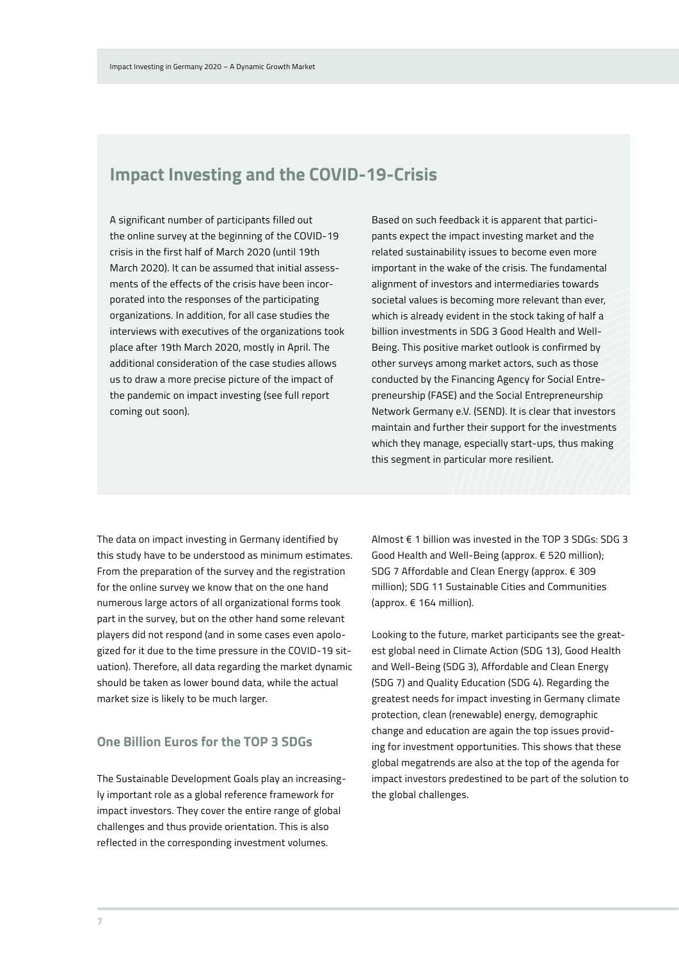# **Impact Investing and the COVID-19-Crisis**

A significant number of participants filled out the online survey at the beginning of the COVID-19 crisis in the first half of March 2020 (until 19th March 2020). It can be assumed that initial assessments of the effects of the crisis have been incorporated into the responses of the participating organizations. In addition, for all case studies the interviews with executives of the organizations took place after 19th March 2020, mostly in April. The additional consideration of the case studies allows us to draw a more precise picture of the impact of the pandemic on impact investing (see full report coming out soon).

Based on such feedback it is apparent that participants expect the impact investing market and the related sustainability issues to become even more important in the wake of the crisis. The fundamental alignment of investors and intermediaries towards societal values is becoming more relevant than ever, which is already evident in the stock taking of half a billion investments in SDG 3 Good Health and Well-Being. This positive market outlook is confirmed by other surveys among market actors, such as those conducted by the Financing Agency for Social Entrepreneurship (FASE) and the Social Entrepreneurship Network Germany e.V. (SEND). It is clear that investors maintain and further their support for the investments which they manage, especially start-ups, thus making this segment in particular more resilient.

The data on impact investing in Germany identified by this study have to be understood as minimum estimates. From the preparation of the survey and the registration for the online survey we know that on the one hand numerous large actors of all organizational forms took part in the survey, but on the other hand some relevant players did not respond (and in some cases even apologized for it due to the time pressure in the COVID-19 situation). Therefore, all data regarding the market dynamic should be taken as lower bound data, while the actual market size is likely to be much larger.

### **One Billion Euros for the TOP 3 SDGs**

The Sustainable Development Goals play an increasingly important role as a global reference framework for impact investors. They cover the entire range of global challenges and thus provide orientation. This is also reflected in the corresponding investment volumes.

Almost € 1 billion was invested in the TOP 3 SDGs: SDG 3 Good Health and Well-Being (approx. € 520 million); SDG 7 Affordable and Clean Energy (approx. € 309 million); SDG 11 Sustainable Cities and Communities (approx. € 164 million).

Looking to the future, market participants see the greatest global need in Climate Action (SDG 13), Good Health and Well-Being (SDG 3), Affordable and Clean Energy (SDG 7) and Quality Education (SDG 4). Regarding the greatest needs for impact investing in Germany climate protection, clean (renewable) energy, demographic change and education are again the top issues providing for investment opportunities. This shows that these global megatrends are also at the top of the agenda for impact investors predestined to be part of the solution to the global challenges.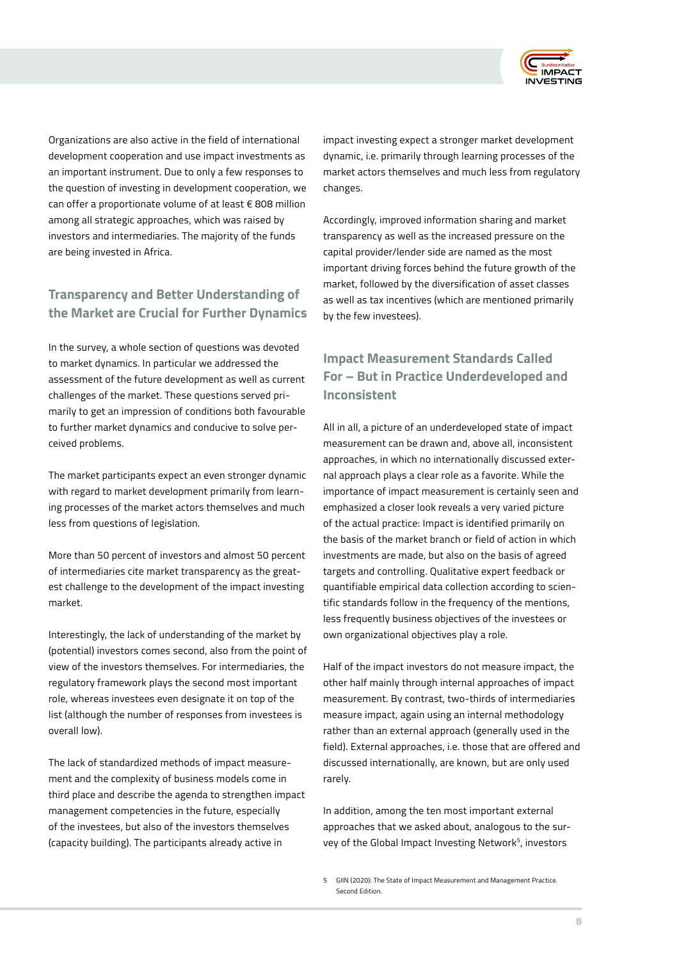

Organizations are also active in the field of international development cooperation and use impact investments as an important instrument. Due to only a few responses to the question of investing in development cooperation, we can offer a proportionate volume of at least € 808 million among all strategic approaches, which was raised by investors and intermediaries. The majority of the funds are being invested in Africa.

### **Transparency and Better Understanding of the Market are Crucial for Further Dynamics**

In the survey, a whole section of questions was devoted to market dynamics. In particular we addressed the assessment of the future development as well as current challenges of the market. These questions served primarily to get an impression of conditions both favourable to further market dynamics and conducive to solve perceived problems.

The market participants expect an even stronger dynamic with regard to market development primarily from learning processes of the market actors themselves and much less from questions of legislation.

More than 50 percent of investors and almost 50 percent of intermediaries cite market transparency as the greatest challenge to the development of the impact investing market.

Interestingly, the lack of understanding of the market by (potential) investors comes second, also from the point of view of the investors themselves. For intermediaries, the regulatory framework plays the second most important role, whereas investees even designate it on top of the list (although the number of responses from investees is overall low).

The lack of standardized methods of impact measurement and the complexity of business models come in third place and describe the agenda to strengthen impact management competencies in the future, especially of the investees, but also of the investors themselves (capacity building). The participants already active in

impact investing expect a stronger market development dynamic, i.e. primarily through learning processes of the market actors themselves and much less from regulatory changes.

Accordingly, improved information sharing and market transparency as well as the increased pressure on the capital provider/lender side are named as the most important driving forces behind the future growth of the market, followed by the diversification of asset classes as well as tax incentives (which are mentioned primarily by the few investees).

## **Impact Measurement Standards Called For – But in Practice Underdeveloped and Inconsistent**

All in all, a picture of an underdeveloped state of impact measurement can be drawn and, above all, inconsistent approaches, in which no internationally discussed external approach plays a clear role as a favorite. While the importance of impact measurement is certainly seen and emphasized a closer look reveals a very varied picture of the actual practice: Impact is identified primarily on the basis of the market branch or field of action in which investments are made, but also on the basis of agreed targets and controlling. Qualitative expert feedback or quantifiable empirical data collection according to scientific standards follow in the frequency of the mentions, less frequently business objectives of the investees or own organizational objectives play a role.

Half of the impact investors do not measure impact, the other half mainly through internal approaches of impact measurement. By contrast, two-thirds of intermediaries measure impact, again using an internal methodology rather than an external approach (generally used in the field). External approaches, i.e. those that are offered and discussed internationally, are known, but are only used rarely.

In addition, among the ten most important external approaches that we asked about, analogous to the survey of the Global Impact Investing Network<sup>5</sup>, investors

<sup>5</sup> GIIN (2020): The State of Impact Measurement and Management Practice. Second Edition.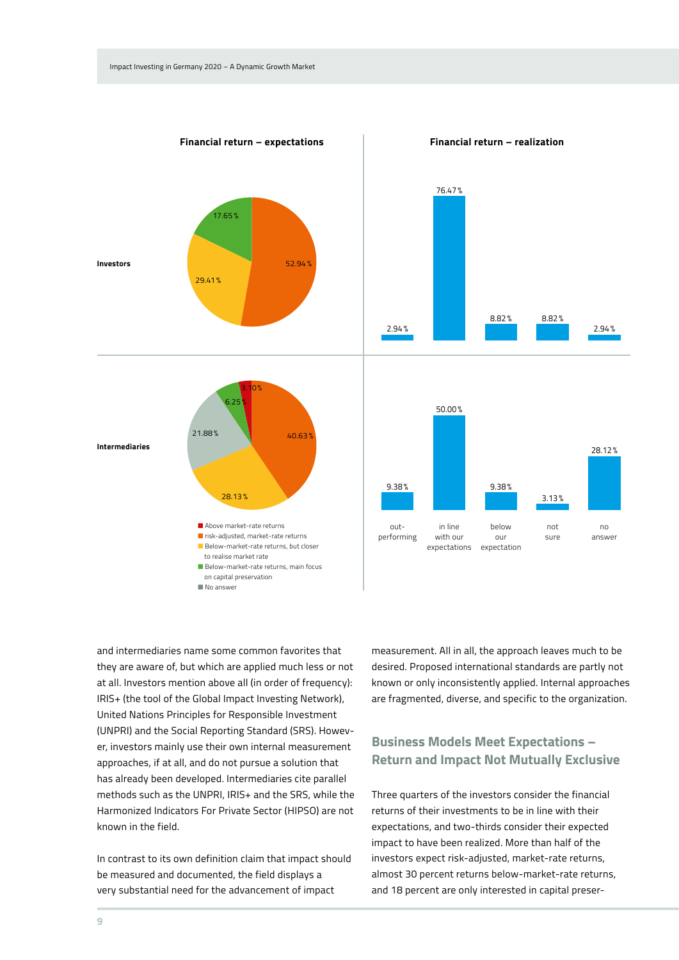

and intermediaries name some common favorites that they are aware of, but which are applied much less or not at all. Investors mention above all (in order of frequency): IRIS+ (the tool of the Global Impact Investing Network), United Nations Principles for Responsible Investment (UNPRI) and the Social Reporting Standard (SRS). However, investors mainly use their own internal measurement approaches, if at all, and do not pursue a solution that has already been developed. Intermediaries cite parallel methods such as the UNPRI, IRIS+ and the SRS, while the Harmonized Indicators For Private Sector (HIPSO) are not known in the field.

In contrast to its own definition claim that impact should be measured and documented, the field displays a very substantial need for the advancement of impact

measurement. All in all, the approach leaves much to be desired. Proposed international standards are partly not known or only inconsistently applied. Internal approaches are fragmented, diverse, and specific to the organization.

### **Business Models Meet Expectations – Return and Impact Not Mutually Exclusive**

Three quarters of the investors consider the financial returns of their investments to be in line with their expectations, and two-thirds consider their expected impact to have been realized. More than half of the investors expect risk-adjusted, market-rate returns, almost 30 percent returns below-market-rate returns, and 18 percent are only interested in capital preser-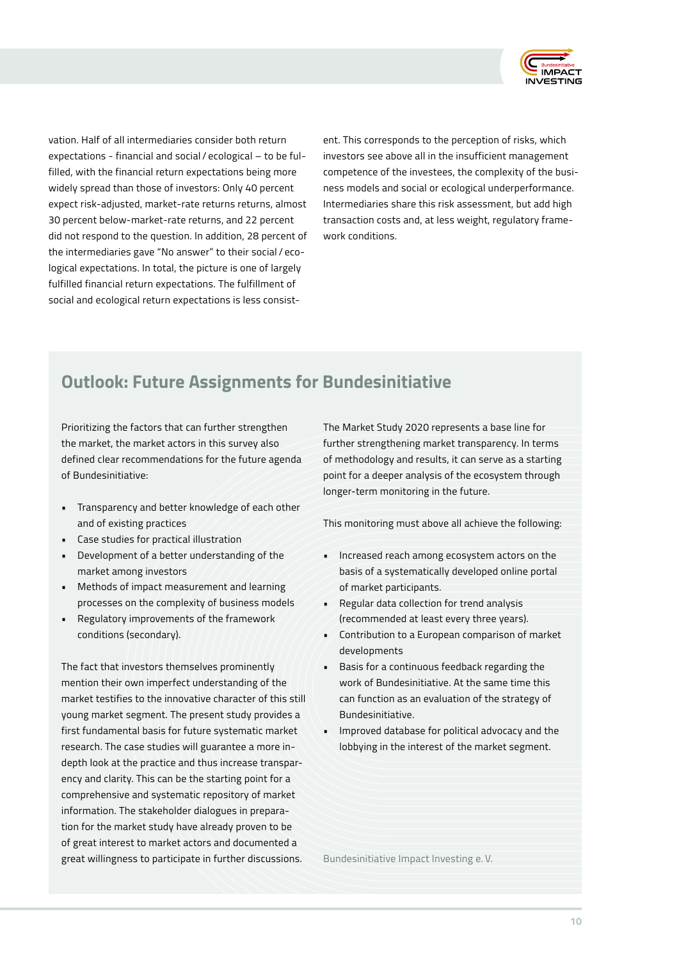

vation. Half of all intermediaries consider both return expectations - financial and social / ecological – to be fulfilled, with the financial return expectations being more widely spread than those of investors: Only 40 percent expect risk-adjusted, market-rate returns returns, almost 30 percent below-market-rate returns, and 22 percent did not respond to the question. In addition, 28 percent of the intermediaries gave "No answer" to their social / ecological expectations. In total, the picture is one of largely fulfilled financial return expectations. The fulfillment of social and ecological return expectations is less consistent. This corresponds to the perception of risks, which investors see above all in the insufficient management competence of the investees, the complexity of the business models and social or ecological underperformance. Intermediaries share this risk assessment, but add high transaction costs and, at less weight, regulatory framework conditions.

# **Outlook: Future Assignments for Bundesinitiative**

Prioritizing the factors that can further strengthen the market, the market actors in this survey also defined clear recommendations for the future agenda of Bundesinitiative:

- Transparency and better knowledge of each other and of existing practices
- Case studies for practical illustration
- Development of a better understanding of the market among investors
- Methods of impact measurement and learning processes on the complexity of business models
- Regulatory improvements of the framework conditions (secondary).

The fact that investors themselves prominently mention their own imperfect understanding of the market testifies to the innovative character of this still young market segment. The present study provides a first fundamental basis for future systematic market research. The case studies will guarantee a more indepth look at the practice and thus increase transparency and clarity. This can be the starting point for a comprehensive and systematic repository of market information. The stakeholder dialogues in preparation for the market study have already proven to be of great interest to market actors and documented a great willingness to participate in further discussions.

The Market Study 2020 represents a base line for further strengthening market transparency. In terms of methodology and results, it can serve as a starting point for a deeper analysis of the ecosystem through longer-term monitoring in the future.

This monitoring must above all achieve the following:

- Increased reach among ecosystem actors on the basis of a systematically developed online portal of market participants.
- Regular data collection for trend analysis (recommended at least every three years).
- Contribution to a European comparison of market developments
- Basis for a continuous feedback regarding the work of Bundesinitiative. At the same time this can function as an evaluation of the strategy of Bundesinitiative.
- Improved database for political advocacy and the lobbying in the interest of the market segment.

Bundesinitiative Impact Investing e. V.